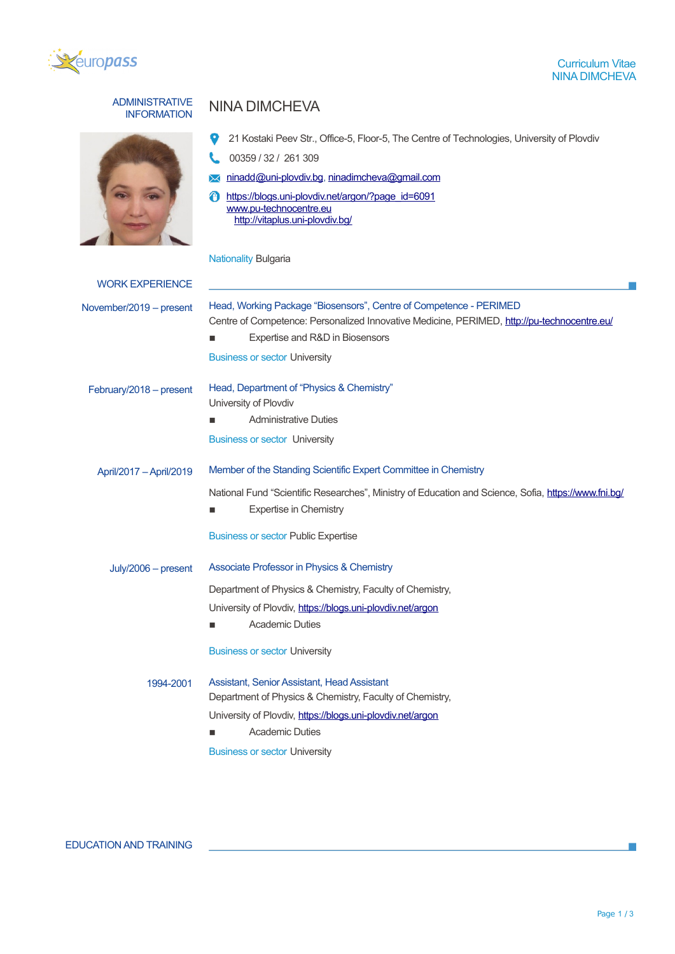

# ADMINISTRATIVE



## **NINA DIMCHEVA**

|  | 21 Kostaki Peev Str., Office-5, Floor-5, The Centre of Technologies, University of Plovdiv |  |  |  |
|--|--------------------------------------------------------------------------------------------|--|--|--|
|--|--------------------------------------------------------------------------------------------|--|--|--|

- $\mathbf{C}$ 00359 / 32 / 261 309
- **X** ninadd@uni-plovdiv.bg, [ninadimcheva@gmail.com](mailto:ninadimcheva@gmail.com)
- [https://blogs.uni-plovdiv.net/argon/?page\\_id=6091](https://blogs.uni-plovdiv.net/argon/?page_id=6091) [www.pu-technocentre.eu](http://www.pu-technocentre.eu/) <http://vitaplus.uni-plovdiv.bg/>

## Nationality Bulgaria

| <b>WORK EXPERIENCE</b>  |                                                                                                                                                                                                      |  |  |
|-------------------------|------------------------------------------------------------------------------------------------------------------------------------------------------------------------------------------------------|--|--|
| November/2019 - present | Head, Working Package "Biosensors", Centre of Competence - PERIMED<br>Centre of Competence: Personalized Innovative Medicine, PERIMED, http://pu-technocentre.eu/<br>Expertise and R&D in Biosensors |  |  |
|                         | <b>Business or sector University</b>                                                                                                                                                                 |  |  |
| February/2018 - present | Head, Department of "Physics & Chemistry"<br>University of Plovdiv                                                                                                                                   |  |  |
|                         | <b>Administrative Duties</b>                                                                                                                                                                         |  |  |
|                         | <b>Business or sector University</b>                                                                                                                                                                 |  |  |
| April/2017 - April/2019 | Member of the Standing Scientific Expert Committee in Chemistry                                                                                                                                      |  |  |
|                         | National Fund "Scientific Researches", Ministry of Education and Science, Sofia, https://www.fni.bg/<br><b>Expertise in Chemistry</b>                                                                |  |  |
|                         | <b>Business or sector Public Expertise</b>                                                                                                                                                           |  |  |
| July/2006 - present     | Associate Professor in Physics & Chemistry                                                                                                                                                           |  |  |
|                         | Department of Physics & Chemistry, Faculty of Chemistry,                                                                                                                                             |  |  |
|                         | University of Plovdiv, https://blogs.uni-plovdiv.net/argon                                                                                                                                           |  |  |
|                         | <b>Academic Duties</b>                                                                                                                                                                               |  |  |
|                         | <b>Business or sector University</b>                                                                                                                                                                 |  |  |
| 1994-2001               | Assistant, Senior Assistant, Head Assistant<br>Department of Physics & Chemistry, Faculty of Chemistry,<br>University of Plovdiv, https://blogs.uni-plovdiv.net/argon<br><b>Academic Duties</b>      |  |  |
|                         | <b>Business or sector University</b>                                                                                                                                                                 |  |  |
|                         |                                                                                                                                                                                                      |  |  |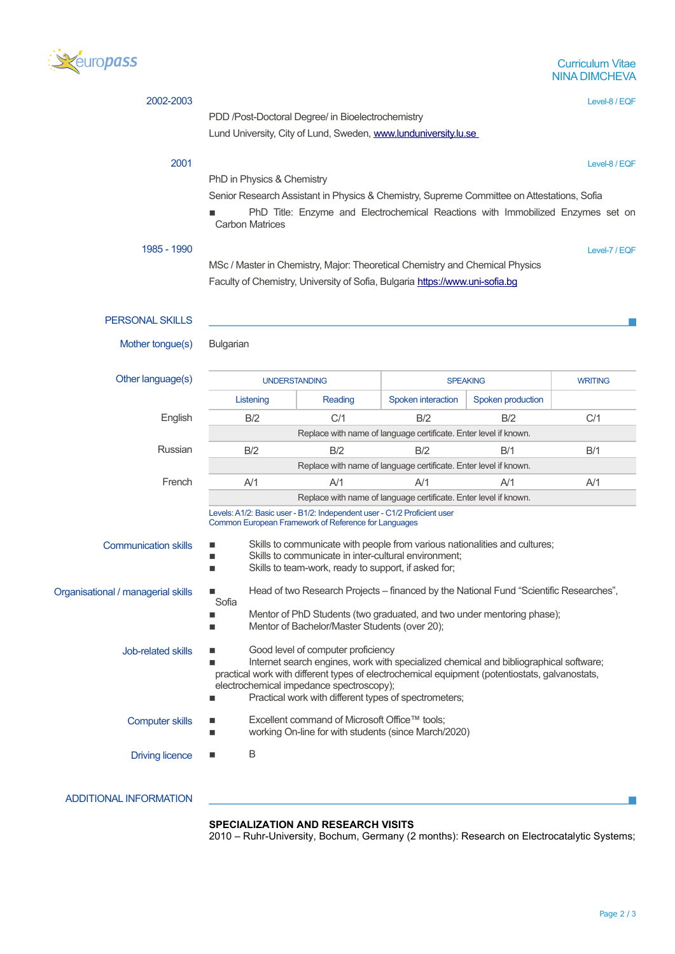

| 2002-2003                                                                                                                                                                                                                                                                                                                                                                                                                                                                                             |                                                                                                                                                                                                      |         |                                                                  |                   | Level-8 / EQF  |  |                        |
|-------------------------------------------------------------------------------------------------------------------------------------------------------------------------------------------------------------------------------------------------------------------------------------------------------------------------------------------------------------------------------------------------------------------------------------------------------------------------------------------------------|------------------------------------------------------------------------------------------------------------------------------------------------------------------------------------------------------|---------|------------------------------------------------------------------|-------------------|----------------|--|------------------------|
|                                                                                                                                                                                                                                                                                                                                                                                                                                                                                                       | PDD /Post-Doctoral Degree/ in Bioelectrochemistry                                                                                                                                                    |         |                                                                  |                   |                |  |                        |
|                                                                                                                                                                                                                                                                                                                                                                                                                                                                                                       | Lund University, City of Lund, Sweden, www.lunduniversity.lu.se                                                                                                                                      |         |                                                                  |                   |                |  |                        |
| 2001                                                                                                                                                                                                                                                                                                                                                                                                                                                                                                  |                                                                                                                                                                                                      |         |                                                                  |                   | Level-8 / EQF  |  |                        |
|                                                                                                                                                                                                                                                                                                                                                                                                                                                                                                       | PhD in Physics & Chemistry<br>Senior Research Assistant in Physics & Chemistry, Supreme Committee on Attestations, Sofia                                                                             |         |                                                                  |                   |                |  |                        |
|                                                                                                                                                                                                                                                                                                                                                                                                                                                                                                       |                                                                                                                                                                                                      |         |                                                                  |                   |                |  |                        |
| PhD Title: Enzyme and Electrochemical Reactions with Immobilized Enzymes set on<br><b>Carbon Matrices</b>                                                                                                                                                                                                                                                                                                                                                                                             |                                                                                                                                                                                                      |         |                                                                  |                   |                |  |                        |
| 1985 - 1990                                                                                                                                                                                                                                                                                                                                                                                                                                                                                           |                                                                                                                                                                                                      |         |                                                                  |                   | Level-7 / EQF  |  |                        |
|                                                                                                                                                                                                                                                                                                                                                                                                                                                                                                       | MSc / Master in Chemistry, Major: Theoretical Chemistry and Chemical Physics                                                                                                                         |         |                                                                  |                   |                |  |                        |
|                                                                                                                                                                                                                                                                                                                                                                                                                                                                                                       | Faculty of Chemistry, University of Sofia, Bulgaria https://www.uni-sofia.bg                                                                                                                         |         |                                                                  |                   |                |  |                        |
|                                                                                                                                                                                                                                                                                                                                                                                                                                                                                                       |                                                                                                                                                                                                      |         |                                                                  |                   |                |  |                        |
| <b>PERSONAL SKILLS</b>                                                                                                                                                                                                                                                                                                                                                                                                                                                                                |                                                                                                                                                                                                      |         |                                                                  |                   |                |  |                        |
| Mother tongue(s)                                                                                                                                                                                                                                                                                                                                                                                                                                                                                      | Bulgarian                                                                                                                                                                                            |         |                                                                  |                   |                |  |                        |
|                                                                                                                                                                                                                                                                                                                                                                                                                                                                                                       |                                                                                                                                                                                                      |         |                                                                  |                   |                |  |                        |
| Other language(s)                                                                                                                                                                                                                                                                                                                                                                                                                                                                                     | <b>UNDERSTANDING</b>                                                                                                                                                                                 |         |                                                                  | <b>SPEAKING</b>   | <b>WRITING</b> |  |                        |
|                                                                                                                                                                                                                                                                                                                                                                                                                                                                                                       | Listening                                                                                                                                                                                            | Reading | Spoken interaction                                               | Spoken production |                |  |                        |
| English                                                                                                                                                                                                                                                                                                                                                                                                                                                                                               | B/2                                                                                                                                                                                                  | C/1     | B/2                                                              | B/2               | C/1            |  |                        |
|                                                                                                                                                                                                                                                                                                                                                                                                                                                                                                       |                                                                                                                                                                                                      |         | Replace with name of language certificate. Enter level if known. |                   |                |  |                        |
| Russian                                                                                                                                                                                                                                                                                                                                                                                                                                                                                               | B/2                                                                                                                                                                                                  | B/2     | B/2                                                              | B/1               | B/1            |  |                        |
|                                                                                                                                                                                                                                                                                                                                                                                                                                                                                                       |                                                                                                                                                                                                      |         | Replace with name of language certificate. Enter level if known. |                   |                |  |                        |
| French                                                                                                                                                                                                                                                                                                                                                                                                                                                                                                | A/1                                                                                                                                                                                                  | AV1     | A/1                                                              | A/1               | A/1            |  |                        |
|                                                                                                                                                                                                                                                                                                                                                                                                                                                                                                       | Replace with name of language certificate. Enter level if known.                                                                                                                                     |         |                                                                  |                   |                |  |                        |
|                                                                                                                                                                                                                                                                                                                                                                                                                                                                                                       | Levels: A1/2: Basic user - B1/2: Independent user - C1/2 Proficient user<br>Common European Framework of Reference for Languages                                                                     |         |                                                                  |                   |                |  |                        |
| <b>Communication skills</b>                                                                                                                                                                                                                                                                                                                                                                                                                                                                           | Skills to communicate with people from various nationalities and cultures;<br>■<br>Skills to communicate in inter-cultural environment;<br>Skills to team-work, ready to support, if asked for;<br>٠ |         |                                                                  |                   |                |  |                        |
|                                                                                                                                                                                                                                                                                                                                                                                                                                                                                                       |                                                                                                                                                                                                      |         |                                                                  |                   |                |  |                        |
| Organisational / managerial skills                                                                                                                                                                                                                                                                                                                                                                                                                                                                    | Head of two Research Projects - financed by the National Fund "Scientific Researches",<br>Sofia                                                                                                      |         |                                                                  |                   |                |  |                        |
|                                                                                                                                                                                                                                                                                                                                                                                                                                                                                                       | Mentor of PhD Students (two graduated, and two under mentoring phase);<br>Mentor of Bachelor/Master Students (over 20);                                                                              |         |                                                                  |                   |                |  |                        |
| Good level of computer proficiency<br>Job-related skills<br>Internet search engines, work with specialized chemical and bibliographical software;<br>practical work with different types of electrochemical equipment (potentiostats, galvanostats,<br>electrochemical impedance spectroscopy);<br>Practical work with different types of spectrometers;<br>Excellent command of Microsoft Office™ tools;<br><b>Computer skills</b><br>▬<br>working On-line for with students (since March/2020)<br>■ |                                                                                                                                                                                                      |         |                                                                  |                   |                |  |                        |
|                                                                                                                                                                                                                                                                                                                                                                                                                                                                                                       |                                                                                                                                                                                                      |         |                                                                  |                   |                |  | <b>Driving licence</b> |
| <b>ADDITIONAL INFORMATION</b>                                                                                                                                                                                                                                                                                                                                                                                                                                                                         |                                                                                                                                                                                                      |         |                                                                  |                   |                |  |                        |

## **SPECIALIZATION AND RESEARCH VISITS**

2010 – Ruhr-University, Bochum, Germany (2 months): Research on Electrocatalytic Systems;